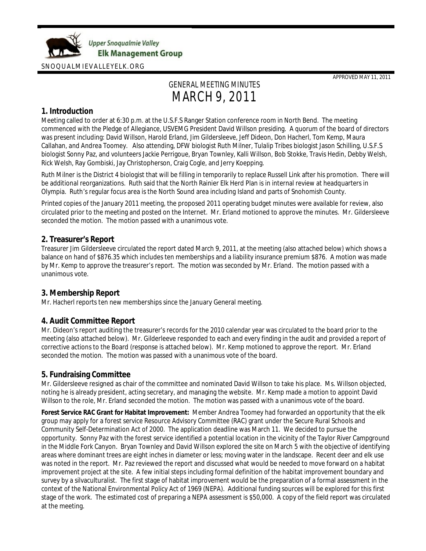

APPROVED MAY 11, 2011

# GENERAL MEETING MINUTES MARCH 9, 2011

# **1. Introduction**

Meeting called to order at 6:30 p.m. at the U.S.F.S Ranger Station conference room in North Bend. The meeting commenced with the Pledge of Allegiance, USVEMG President David Willson presiding. A quorum of the board of directors was present including: David Willson, Harold Erland, Jim Gildersleeve, Jeff Dideon, Don Hacherl, Tom Kemp, Maura Callahan, and Andrea Toomey. Also attending, DFW biologist Ruth Milner, Tulalip Tribes biologist Jason Schilling, U.S.F.S biologist Sonny Paz, and volunteers Jackie Perrigoue, Bryan Townley, Kalli Willson, Bob Stokke, Travis Hedin, Debby Welsh, Rick Welsh, Ray Gombiski, Jay Christopherson, Craig Cogle, and Jerry Koepping.

Ruth Milner is the District 4 biologist that will be filling in temporarily to replace Russell Link after his promotion. There will be additional reorganizations. Ruth said that the North Rainier Elk Herd Plan is in internal review at headquarters in Olympia. Ruth's regular focus area is the North Sound area including Island and parts of Snohomish County.

Printed copies of the January 2011 meeting, the proposed 2011 operating budget minutes were available for review, also circulated prior to the meeting and posted on the Internet. Mr. Erland motioned to approve the minutes. Mr. Gildersleeve seconded the motion. The motion passed with a unanimous vote.

# **2. Treasurer's Report**

Treasurer Jim Gildersleeve circulated the report dated March 9, 2011, at the meeting (also attached below) which shows a balance on hand of \$876.35 which includes ten memberships and a liability insurance premium \$876. A motion was made by Mr. Kemp to approve the treasurer's report. The motion was seconded by Mr. Erland. The motion passed with a unanimous vote.

# **3. Membership Report**

Mr. Hacherl reports ten new memberships since the January General meeting.

# **4. Audit Committee Report**

Mr. Dideon's report auditing the treasurer's records for the 2010 calendar year was circulated to the board prior to the meeting (also attached below). Mr. Gilderleeve responded to each and every finding in the audit and provided a report of corrective actions to the Board (response is attached below). Mr. Kemp motioned to approve the report. Mr. Erland seconded the motion. The motion was passed with a unanimous vote of the board.

# **5. Fundraising Committee**

Mr. Gildersleeve resigned as chair of the committee and nominated David Willson to take his place. Ms. Willson objected, noting he is already president, acting secretary, and managing the website. Mr. Kemp made a motion to appoint David Willson to the role, Mr. Erland seconded the motion. The motion was passed with a unanimous vote of the board.

**Forest Service RAC Grant for Habitat Improvement:** Member Andrea Toomey had forwarded an opportunity that the elk group may apply for a forest service Resource Advisory Committee (RAC) grant under the Secure Rural Schools and Community Self-Determination Act of 2000. The application deadline was March 11. We decided to pursue the opportunity. Sonny Paz with the forest service identified a potential location in the vicinity of the Taylor River Campground in the Middle Fork Canyon. Bryan Townley and David Willson explored the site on March 5 with the objective of identifying areas where dominant trees are eight inches in diameter or less; moving water in the landscape. Recent deer and elk use was noted in the report. Mr. Paz reviewed the report and discussed what would be needed to move forward on a habitat improvement project at the site. A few initial steps including formal definition of the habitat improvement boundary and survey by a silvaculturalist. The first stage of habitat improvement would be the preparation of a formal assessment in the context of the National Environmental Policy Act of 1969 (NEPA). Additional funding sources will be explored for this first stage of the work. The estimated cost of preparing a NEPA assessment is \$50,000. A copy of the field report was circulated at the meeting.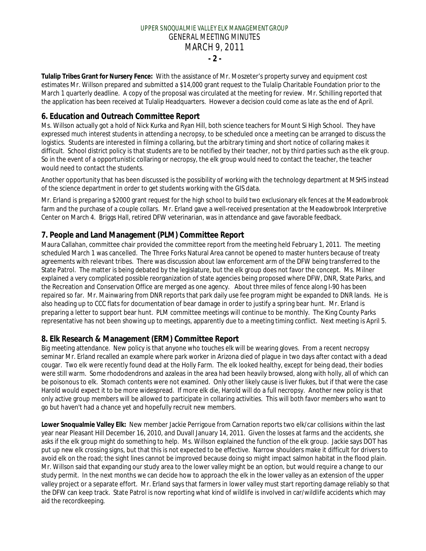# UPPER SNOQUALMIE VALLEY ELK MANAGEMENT GROUP GENERAL MEETING MINUTES MARCH 9, 2011 **- 2 -**

**Tulalip Tribes Grant for Nursery Fence:** With the assistance of Mr. Moszeter's property survey and equipment cost estimates Mr. Willson prepared and submitted a \$14,000 grant request to the Tulalip Charitable Foundation prior to the March 1 quarterly deadline. A copy of the proposal was circulated at the meeting for review. Mr. Schilling reported that the application has been received at Tulalip Headquarters. However a decision could come as late as the end of April.

# **6. Education and Outreach Committee Report**

Ms. Willson actually got a hold of Nick Kurka and Ryan Hill, both science teachers for Mount Si High School. They have expressed much interest students in attending a necropsy, to be scheduled once a meeting can be arranged to discuss the logistics. Students are interested in filming a collaring, but the arbitrary timing and short notice of collaring makes it difficult. School district policy is that students are to be notified by their teacher, not by third parties such as the elk group. So in the event of a opportunistic collaring or necropsy, the elk group would need to contact the teacher, the teacher would need to contact the students.

Another opportunity that has been discussed is the possibility of working with the technology department at MSHS instead of the science department in order to get students working with the GIS data.

Mr. Erland is preparing a \$2000 grant request for the high school to build two exclusionary elk fences at the Meadowbrook farm and the purchase of a couple collars. Mr. Erland gave a well-received presentation at the Meadowbrook Interpretive Center on March 4. Briggs Hall, retired DFW veterinarian, was in attendance and gave favorable feedback.

# **7. People and Land Management (PLM) Committee Report**

Maura Callahan, committee chair provided the committee report from the meeting held February 1, 2011. The meeting scheduled March 1 was cancelled. The Three Forks Natural Area cannot be opened to master hunters because of treaty agreements with relevant tribes. There was discussion about law enforcement arm of the DFW being transferred to the State Patrol. The matter is being debated by the legislature, but the elk group does not favor the concept. Ms. Milner explained a very complicated possible reorganization of state agencies being proposed where DFW, DNR, State Parks, and the Recreation and Conservation Office are merged as one agency. About three miles of fence along I-90 has been repaired so far. Mr. Mainwaring from DNR reports that park daily use fee program might be expanded to DNR lands. He is also heading up to CCC flats for documentation of bear damage in order to justify a spring bear hunt. Mr. Erland is preparing a letter to support bear hunt. PLM committee meetings will continue to be monthly. The King County Parks representative has not been showing up to meetings, apparently due to a meeting timing conflict. Next meeting is April 5.

# **8. Elk Research & Management (ERM) Committee Report**

Big meeting attendance. New policy is that anyone who touches elk will be wearing gloves. From a recent necropsy seminar Mr. Erland recalled an example where park worker in Arizona died of plague in two days after contact with a dead cougar. Two elk were recently found dead at the Holly Farm. The elk looked healthy, except for being dead, their bodies were still warm. Some rhododendrons and azaleas in the area had been heavily browsed, along with holly, all of which can be poisonous to elk. Stomach contents were not examined. Only other likely cause is liver flukes, but if that were the case Harold would expect it to be more widespread. If more elk die, Harold will do a full necropsy. Another new policy is that only active group members will be allowed to participate in collaring activities. This will both favor members who want to go but haven't had a chance yet and hopefully recruit new members.

**Lower Snoqualmie Valley Elk:** New member Jackie Perrigoue from Carnation reports two elk/car collisions within the last year near Pleasant Hill December 16, 2010, and Duvall January 14, 2011. Given the losses at farms and the accidents, she asks if the elk group might do something to help. Ms. Willson explained the function of the elk group. Jackie says DOT has put up new elk crossing signs, but that this is not expected to be effective. Narrow shoulders make it difficult for drivers to avoid elk on the road; the sight lines cannot be improved because doing so might impact salmon habitat in the flood plain. Mr. Willson said that expanding our study area to the lower valley might be an option, but would require a change to our study permit. In the next months we can decide how to approach the elk in the lower valley as an extension of the upper valley project or a separate effort. Mr. Erland says that farmers in lower valley must start reporting damage reliably so that the DFW can keep track. State Patrol is now reporting what kind of wildlife is involved in car/wildlife accidents which may aid the recordkeeping.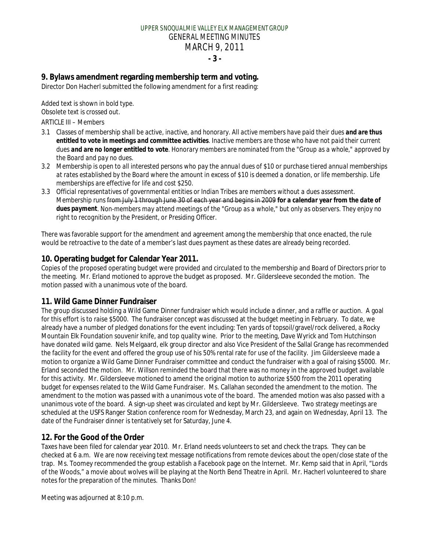# UPPER SNOQUALMIE VALLEY ELK MANAGEMENT GROUP GENERAL MEETING MINUTES MARCH 9, 2011 **- 3 -**

**9. Bylaws amendment regarding membership term and voting.** Director Don Hacherl submitted the following amendment for a first reading:

*Added text is shown in bold type. Obsolete text is crossed out.*

*ARTICLE III – Members*

- *3.1 Classes of membership shall be active, inactive, and honorary. All active members have paid their dues and are thus entitled to vote in meetings and committee activities. Inactive members are those who have not paid their current dues and are no longer entitled to vote. Honorary members are nominated from the "Group as a whole," approved by the Board and pay no dues.*
- *3.2 Membership is open to all interested persons who pay the annual dues of \$10 or purchase tiered annual memberships at rates established by the Board where the amount in excess of \$10 is deemed a donation, or life membership. Life memberships are effective for life and cost \$250.*
- *3.3 Official representatives of governmental entities or Indian Tribes are members without a dues assessment. Membership runs from July 1 through June 30 of each year and begins in 2009 for a calendar year from the date of dues payment. Non-members may attend meetings of the "Group as a whole," but only as observers. They enjoy no right to recognition by the President, or Presiding Officer.*

There was favorable support for the amendment and agreement among the membership that once enacted, the rule would be retroactive to the date of a member's last dues payment as these dates are already being recorded.

# **10. Operating budget for Calendar Year 2011.**

Copies of the proposed operating budget were provided and circulated to the membership and Board of Directors prior to the meeting. Mr. Erland motioned to approve the budget as proposed. Mr. Gildersleeve seconded the motion. The motion passed with a unanimous vote of the board.

# **11. Wild Game Dinner Fundraiser**

The group discussed holding a Wild Game Dinner fundraiser which would include a dinner, and a raffle or auction. A goal for this effort is to raise \$5000. The fundraiser concept was discussed at the budget meeting in February. To date, we already have a number of pledged donations for the event including: Ten yards of topsoil/gravel/rock delivered, a Rocky Mountain Elk Foundation souvenir knife, and top quality wine. Prior to the meeting, Dave Wyrick and Tom Hutchinson have donated wild game. Nels Melgaard, elk group director and also Vice President of the Sallal Grange has recommended the facility for the event and offered the group use of his 50% rental rate for use of the facility. Jim Gildersleeve made a motion to organize a Wild Game Dinner Fundraiser committee and conduct the fundraiser with a goal of raising \$5000. Mr. Erland seconded the motion. Mr. Willson reminded the board that there was no money in the approved budget available for this activity. Mr. Gildersleeve motioned to amend the original motion to authorize \$500 from the 2011 operating budget for expenses related to the Wild Game Fundraiser. Ms. Callahan seconded the amendment to the motion. The amendment to the motion was passed with a unanimous vote of the board. The amended motion was also passed with a unanimous vote of the board. A sign-up sheet was circulated and kept by Mr. Gildersleeve. Two strategy meetings are scheduled at the USFS Ranger Station conference room for Wednesday, March 23, and again on Wednesday, April 13. The date of the Fundraiser dinner is tentatively set for Saturday, June 4.

# **12. For the Good of the Order**

Taxes have been filed for calendar year 2010. Mr. Erland needs volunteers to set and check the traps. They can be checked at 6 a.m. We are now receiving text message notifications from remote devices about the open/close state of the trap. Ms. Toomey recommended the group establish a Facebook page on the Internet. Mr. Kemp said that in April, "Lords of the Woods," a movie about wolves will be playing at the North Bend Theatre in April. Mr. Hacherl volunteered to share notes for the preparation of the minutes. Thanks Don!

Meeting was adjourned at 8:10 p.m.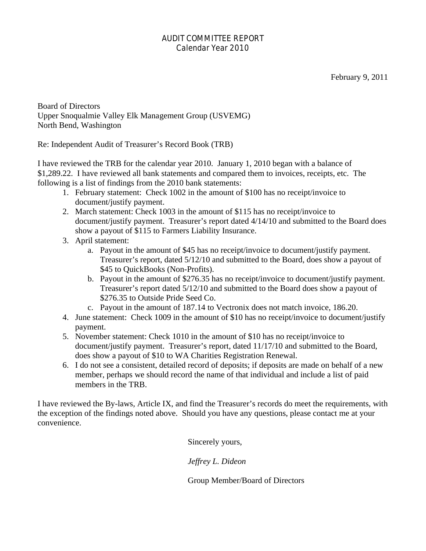# AUDIT COMMITTEE REPORT Calendar Year 2010

Board of Directors Upper Snoqualmie Valley Elk Management Group (USVEMG) North Bend, Washington

Re: Independent Audit of Treasurer's Record Book (TRB)

I have reviewed the TRB for the calendar year 2010. January 1, 2010 began with a balance of \$1,289.22. I have reviewed all bank statements and compared them to invoices, receipts, etc. The following is a list of findings from the 2010 bank statements:

- 1. February statement: Check 1002 in the amount of \$100 has no receipt/invoice to document/justify payment.
- 2. March statement: Check 1003 in the amount of \$115 has no receipt/invoice to document/justify payment. Treasurer's report dated 4/14/10 and submitted to the Board does show a payout of \$115 to Farmers Liability Insurance.
- 3. April statement:
	- a. Payout in the amount of \$45 has no receipt/invoice to document/justify payment. Treasurer's report, dated 5/12/10 and submitted to the Board, does show a payout of \$45 to QuickBooks (Non-Profits).
	- b. Payout in the amount of \$276.35 has no receipt/invoice to document/justify payment. Treasurer's report dated 5/12/10 and submitted to the Board does show a payout of \$276.35 to Outside Pride Seed Co.
	- c. Payout in the amount of 187.14 to Vectronix does not match invoice, 186.20.
- 4. June statement: Check 1009 in the amount of \$10 has no receipt/invoice to document/justify payment.
- 5. November statement: Check 1010 in the amount of \$10 has no receipt/invoice to document/justify payment. Treasurer's report, dated 11/17/10 and submitted to the Board, does show a payout of \$10 to WA Charities Registration Renewal.
- 6. I do not see a consistent, detailed record of deposits; if deposits are made on behalf of a new member, perhaps we should record the name of that individual and include a list of paid members in the TRB.

I have reviewed the By-laws, Article IX, and find the Treasurer's records do meet the requirements, with the exception of the findings noted above. Should you have any questions, please contact me at your convenience.

Sincerely yours,

*Jeffrey L. Dideon*

Group Member/Board of Directors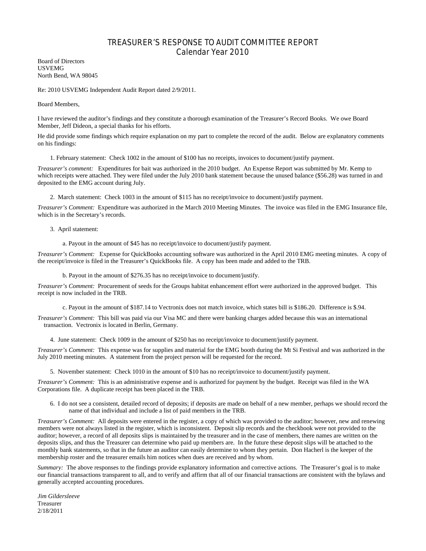# TREASURER'S RESPONSE TO AUDIT COMMITTEE REPORT Calendar Year 2010

Board of Directors USVEMG North Bend, WA 98045

Re: 2010 USVEMG Independent Audit Report dated 2/9/2011.

Board Members,

I have reviewed the auditor's findings and they constitute a thorough examination of the Treasurer's Record Books. We owe Board Member, Jeff Dideon, a special thanks for his efforts.

He did provide some findings which require explanation on my part to complete the record of the audit. Below are explanatory comments on his findings:

1. February statement: Check 1002 in the amount of \$100 has no receipts, invoices to document/justify payment.

*Treasurer's comment:* Expenditures for bait was authorized in the 2010 budget. An Expense Report was submitted by Mr. Kemp to which receipts were attached. They were filed under the July 2010 bank statement because the unused balance (\$56.28) was turned in and deposited to the EMG account during July.

2. March statement: Check 1003 in the amount of \$115 has no receipt/invoice to document/justify payment.

*Treasurer's Comment:* Expenditure was authorized in the March 2010 Meeting Minutes. The invoice was filed in the EMG Insurance file, which is in the Secretary's records.

3. April statement:

a. Payout in the amount of \$45 has no receipt/invoice to document/justify payment.

*Treasurer's Comment:* Expense for QuickBooks accounting software was authorized in the April 2010 EMG meeting minutes. A copy of the receipt/invoice is filed in the Treasurer's QuickBooks file. A copy has been made and added to the TRB.

b. Payout in the amount of \$276.35 has no receipt/invoice to document/justify.

*Treasurer's Comment:* Procurement of seeds for the Groups habitat enhancement effort were authorized in the approved budget. This receipt is now included in the TRB.

c. Payout in the amount of \$187.14 to Vectronix does not match invoice, which states bill is \$186.20. Difference is \$.94.

*Treasurer's Comment:* This bill was paid via our Visa MC and there were banking charges added because this was an international transaction. Vectronix is located in Berlin, Germany.

4. June statement: Check 1009 in the amount of \$250 has no receipt/invoice to document/justify payment.

*Treasurer's Comment:* This expense was for supplies and material for the EMG booth during the Mt Si Festival and was authorized in the July 2010 meeting minutes. A statement from the project person will be requested for the record.

5. November statement: Check 1010 in the amount of \$10 has no receipt/invoice to document/justify payment.

*Treasurer's Comment:* This is an administrative expense and is authorized for payment by the budget. Receipt was filed in the WA Corporations file. A duplicate receipt has been placed in the TRB.

6. I do not see a consistent, detailed record of deposits; if deposits are made on behalf of a new member, perhaps we should record the name of that individual and include a list of paid members in the TRB.

*Treasurer's Comment:* All deposits were entered in the register, a copy of which was provided to the auditor; however, new and renewing members were not always listed in the register, which is inconsistent. Deposit slip records and the checkbook were not provided to the auditor; however, a record of all deposits slips is maintained by the treasurer and in the case of members, there names are written on the deposits slips, and thus the Treasurer can determine who paid up members are. In the future these deposit slips will be attached to the monthly bank statements, so that in the future an auditor can easily determine to whom they pertain. Don Hacherl is the keeper of the membership roster and the treasurer emails him notices when dues are received and by whom.

*Summary:* The above responses to the findings provide explanatory information and corrective actions. The Treasurer's goal is to make our financial transactions transparent to all, and to verify and affirm that all of our financial transactions are consistent with the bylaws and generally accepted accounting procedures.

*Jim Gildersleeve* Treasurer 2/18/2011